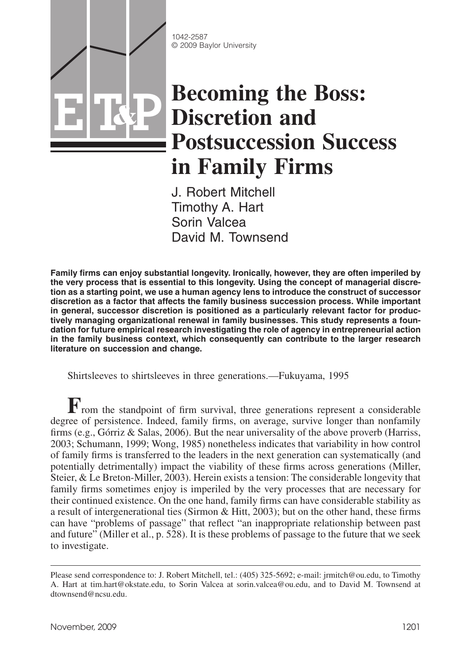1042-2587 © 2009 Baylor University

# **E T&P**

# **Becoming the Boss: Discretion and Postsuccession Success in Family Firms**

J. Robert Mitchell Timothy A. Hart Sorin Valcea David M. Townsend

**Family firms can enjoy substantial longevity. Ironically, however, they are often imperiled by the very process that is essential to this longevity. Using the concept of managerial discretion as a starting point, we use a human agency lens to introduce the construct of successor discretion as a factor that affects the family business succession process. While important in general, successor discretion is positioned as a particularly relevant factor for productively managing organizational renewal in family businesses. This study represents a foundation for future empirical research investigating the role of agency in entrepreneurial action in the family business context, which consequently can contribute to the larger research literature on succession and change.**

Shirtsleeves to shirtsleeves in three generations.—Fukuyama, 1995

**F**rom the standpoint of firm survival, three generations represent a considerable degree of persistence. Indeed, family firms, on average, survive longer than nonfamily firms (e.g., Górriz & Salas, 2006). But the near universality of the above proverb (Harriss, 2003; Schumann, 1999; Wong, 1985) nonetheless indicates that variability in how control of family firms is transferred to the leaders in the next generation can systematically (and potentially detrimentally) impact the viability of these firms across generations (Miller, Steier, & Le Breton-Miller, 2003). Herein exists a tension: The considerable longevity that family firms sometimes enjoy is imperiled by the very processes that are necessary for their continued existence. On the one hand, family firms can have considerable stability as a result of intergenerational ties (Sirmon  $\&$  Hitt, 2003); but on the other hand, these firms can have "problems of passage" that reflect "an inappropriate relationship between past and future" (Miller et al., p. 528). It is these problems of passage to the future that we seek to investigate.

Please send correspondence to: J. Robert Mitchell, tel.: (405) 325-5692; e-mail: jrmitch@ou.edu, to Timothy A. Hart at tim.hart@okstate.edu, to Sorin Valcea at sorin.valcea@ou.edu, and to David M. Townsend at dtownsend@ncsu.edu.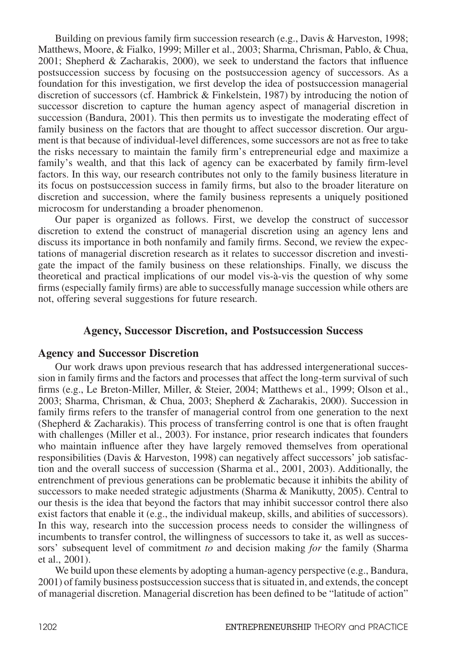Building on previous family firm succession research (e.g., Davis & Harveston, 1998; Matthews, Moore, & Fialko, 1999; Miller et al., 2003; Sharma, Chrisman, Pablo, & Chua, 2001; Shepherd & Zacharakis, 2000), we seek to understand the factors that influence postsuccession success by focusing on the postsuccession agency of successors. As a foundation for this investigation, we first develop the idea of postsuccession managerial discretion of successors (cf. Hambrick & Finkelstein, 1987) by introducing the notion of successor discretion to capture the human agency aspect of managerial discretion in succession (Bandura, 2001). This then permits us to investigate the moderating effect of family business on the factors that are thought to affect successor discretion. Our argument is that because of individual-level differences, some successors are not as free to take the risks necessary to maintain the family firm's entrepreneurial edge and maximize a family's wealth, and that this lack of agency can be exacerbated by family firm-level factors. In this way, our research contributes not only to the family business literature in its focus on postsuccession success in family firms, but also to the broader literature on discretion and succession, where the family business represents a uniquely positioned microcosm for understanding a broader phenomenon.

Our paper is organized as follows. First, we develop the construct of successor discretion to extend the construct of managerial discretion using an agency lens and discuss its importance in both nonfamily and family firms. Second, we review the expectations of managerial discretion research as it relates to successor discretion and investigate the impact of the family business on these relationships. Finally, we discuss the theoretical and practical implications of our model vis-à-vis the question of why some firms (especially family firms) are able to successfully manage succession while others are not, offering several suggestions for future research.

#### **Agency, Successor Discretion, and Postsuccession Success**

#### **Agency and Successor Discretion**

Our work draws upon previous research that has addressed intergenerational succession in family firms and the factors and processes that affect the long-term survival of such firms (e.g., Le Breton-Miller, Miller, & Steier, 2004; Matthews et al., 1999; Olson et al., 2003; Sharma, Chrisman, & Chua, 2003; Shepherd & Zacharakis, 2000). Succession in family firms refers to the transfer of managerial control from one generation to the next (Shepherd & Zacharakis). This process of transferring control is one that is often fraught with challenges (Miller et al., 2003). For instance, prior research indicates that founders who maintain influence after they have largely removed themselves from operational responsibilities (Davis & Harveston, 1998) can negatively affect successors' job satisfaction and the overall success of succession (Sharma et al., 2001, 2003). Additionally, the entrenchment of previous generations can be problematic because it inhibits the ability of successors to make needed strategic adjustments (Sharma  $\&$  Manikutty, 2005). Central to our thesis is the idea that beyond the factors that may inhibit successor control there also exist factors that enable it (e.g., the individual makeup, skills, and abilities of successors). In this way, research into the succession process needs to consider the willingness of incumbents to transfer control, the willingness of successors to take it, as well as successors' subsequent level of commitment *to* and decision making *for* the family (Sharma et al., 2001).

We build upon these elements by adopting a human-agency perspective (e.g., Bandura, 2001) of family business postsuccession success that is situated in, and extends, the concept of managerial discretion. Managerial discretion has been defined to be "latitude of action"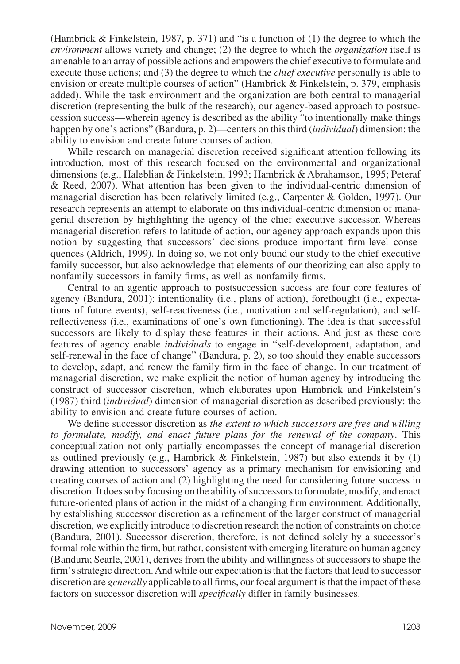(Hambrick & Finkelstein, 1987, p. 371) and "is a function of (1) the degree to which the *environment* allows variety and change; (2) the degree to which the *organization* itself is amenable to an array of possible actions and empowers the chief executive to formulate and execute those actions; and (3) the degree to which the *chief executive* personally is able to envision or create multiple courses of action" (Hambrick & Finkelstein, p. 379, emphasis added). While the task environment and the organization are both central to managerial discretion (representing the bulk of the research), our agency-based approach to postsuccession success—wherein agency is described as the ability "to intentionally make things happen by one's actions" (Bandura, p. 2)—centers on this third (*individual*) dimension: the ability to envision and create future courses of action.

While research on managerial discretion received significant attention following its introduction, most of this research focused on the environmental and organizational dimensions (e.g., Haleblian & Finkelstein, 1993; Hambrick & Abrahamson, 1995; Peteraf & Reed, 2007). What attention has been given to the individual-centric dimension of managerial discretion has been relatively limited (e.g., Carpenter & Golden, 1997). Our research represents an attempt to elaborate on this individual-centric dimension of managerial discretion by highlighting the agency of the chief executive successor. Whereas managerial discretion refers to latitude of action, our agency approach expands upon this notion by suggesting that successors' decisions produce important firm-level consequences (Aldrich, 1999). In doing so, we not only bound our study to the chief executive family successor, but also acknowledge that elements of our theorizing can also apply to nonfamily successors in family firms, as well as nonfamily firms.

Central to an agentic approach to postsuccession success are four core features of agency (Bandura, 2001): intentionality (i.e., plans of action), forethought (i.e., expectations of future events), self-reactiveness (i.e., motivation and self-regulation), and selfreflectiveness (i.e., examinations of one's own functioning). The idea is that successful successors are likely to display these features in their actions. And just as these core features of agency enable *individuals* to engage in "self-development, adaptation, and self-renewal in the face of change" (Bandura, p. 2), so too should they enable successors to develop, adapt, and renew the family firm in the face of change. In our treatment of managerial discretion, we make explicit the notion of human agency by introducing the construct of successor discretion, which elaborates upon Hambrick and Finkelstein's (1987) third (*individual*) dimension of managerial discretion as described previously: the ability to envision and create future courses of action.

We define successor discretion as *the extent to which successors are free and willing to formulate, modify, and enact future plans for the renewal of the company*. This conceptualization not only partially encompasses the concept of managerial discretion as outlined previously (e.g., Hambrick  $\&$  Finkelstein, 1987) but also extends it by (1) drawing attention to successors' agency as a primary mechanism for envisioning and creating courses of action and (2) highlighting the need for considering future success in discretion. It does so by focusing on the ability of successors to formulate, modify, and enact future-oriented plans of action in the midst of a changing firm environment. Additionally, by establishing successor discretion as a refinement of the larger construct of managerial discretion, we explicitly introduce to discretion research the notion of constraints on choice (Bandura, 2001). Successor discretion, therefore, is not defined solely by a successor's formal role within the firm, but rather, consistent with emerging literature on human agency (Bandura; Searle, 2001), derives from the ability and willingness of successors to shape the firm's strategic direction.And while our expectation is that the factors that lead to successor discretion are *generally* applicable to all firms, our focal argument is that the impact of these factors on successor discretion will *specifically* differ in family businesses.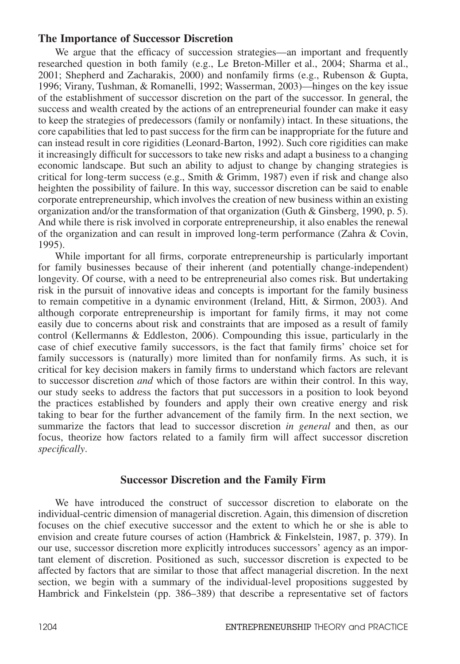# **The Importance of Successor Discretion**

We argue that the efficacy of succession strategies—an important and frequently researched question in both family (e.g., Le Breton-Miller et al., 2004; Sharma et al., 2001; Shepherd and Zacharakis, 2000) and nonfamily firms (e.g., Rubenson & Gupta, 1996; Virany, Tushman, & Romanelli, 1992; Wasserman, 2003)—hinges on the key issue of the establishment of successor discretion on the part of the successor. In general, the success and wealth created by the actions of an entrepreneurial founder can make it easy to keep the strategies of predecessors (family or nonfamily) intact. In these situations, the core capabilities that led to past success for the firm can be inappropriate for the future and can instead result in core rigidities (Leonard-Barton, 1992). Such core rigidities can make it increasingly difficult for successors to take new risks and adapt a business to a changing economic landscape. But such an ability to adjust to change by changing strategies is critical for long-term success (e.g., Smith  $\&$  Grimm, 1987) even if risk and change also heighten the possibility of failure. In this way, successor discretion can be said to enable corporate entrepreneurship, which involves the creation of new business within an existing organization and/or the transformation of that organization (Guth & Ginsberg, 1990, p. 5). And while there is risk involved in corporate entrepreneurship, it also enables the renewal of the organization and can result in improved long-term performance (Zahra & Covin, 1995).

While important for all firms, corporate entrepreneurship is particularly important for family businesses because of their inherent (and potentially change-independent) longevity. Of course, with a need to be entrepreneurial also comes risk. But undertaking risk in the pursuit of innovative ideas and concepts is important for the family business to remain competitive in a dynamic environment (Ireland, Hitt, & Sirmon, 2003). And although corporate entrepreneurship is important for family firms, it may not come easily due to concerns about risk and constraints that are imposed as a result of family control (Kellermanns & Eddleston, 2006). Compounding this issue, particularly in the case of chief executive family successors, is the fact that family firms' choice set for family successors is (naturally) more limited than for nonfamily firms. As such, it is critical for key decision makers in family firms to understand which factors are relevant to successor discretion *and* which of those factors are within their control. In this way, our study seeks to address the factors that put successors in a position to look beyond the practices established by founders and apply their own creative energy and risk taking to bear for the further advancement of the family firm. In the next section, we summarize the factors that lead to successor discretion *in general* and then, as our focus, theorize how factors related to a family firm will affect successor discretion *specifically*.

# **Successor Discretion and the Family Firm**

We have introduced the construct of successor discretion to elaborate on the individual-centric dimension of managerial discretion. Again, this dimension of discretion focuses on the chief executive successor and the extent to which he or she is able to envision and create future courses of action (Hambrick & Finkelstein, 1987, p. 379). In our use, successor discretion more explicitly introduces successors' agency as an important element of discretion. Positioned as such, successor discretion is expected to be affected by factors that are similar to those that affect managerial discretion. In the next section, we begin with a summary of the individual-level propositions suggested by Hambrick and Finkelstein (pp. 386–389) that describe a representative set of factors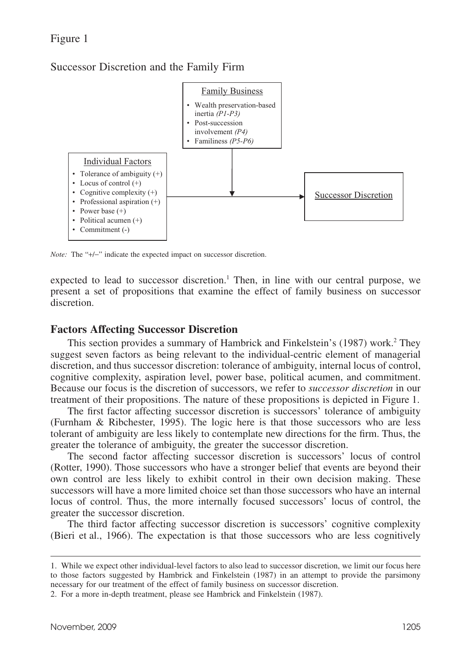# Figure 1

# Successor Discretion and the Family Firm



*Note:* The "+/-" indicate the expected impact on successor discretion.

expected to lead to successor discretion.<sup>1</sup> Then, in line with our central purpose, we present a set of propositions that examine the effect of family business on successor discretion.

# **Factors Affecting Successor Discretion**

This section provides a summary of Hambrick and Finkelstein's  $(1987)$  work.<sup>2</sup> They suggest seven factors as being relevant to the individual-centric element of managerial discretion, and thus successor discretion: tolerance of ambiguity, internal locus of control, cognitive complexity, aspiration level, power base, political acumen, and commitment. Because our focus is the discretion of successors, we refer to *successor discretion* in our treatment of their propositions. The nature of these propositions is depicted in Figure 1.

The first factor affecting successor discretion is successors' tolerance of ambiguity (Furnham & Ribchester, 1995). The logic here is that those successors who are less tolerant of ambiguity are less likely to contemplate new directions for the firm. Thus, the greater the tolerance of ambiguity, the greater the successor discretion.

The second factor affecting successor discretion is successors' locus of control (Rotter, 1990). Those successors who have a stronger belief that events are beyond their own control are less likely to exhibit control in their own decision making. These successors will have a more limited choice set than those successors who have an internal locus of control. Thus, the more internally focused successors' locus of control, the greater the successor discretion.

The third factor affecting successor discretion is successors' cognitive complexity (Bieri et al., 1966). The expectation is that those successors who are less cognitively

<sup>1.</sup> While we expect other individual-level factors to also lead to successor discretion, we limit our focus here to those factors suggested by Hambrick and Finkelstein (1987) in an attempt to provide the parsimony necessary for our treatment of the effect of family business on successor discretion.

<sup>2.</sup> For a more in-depth treatment, please see Hambrick and Finkelstein (1987).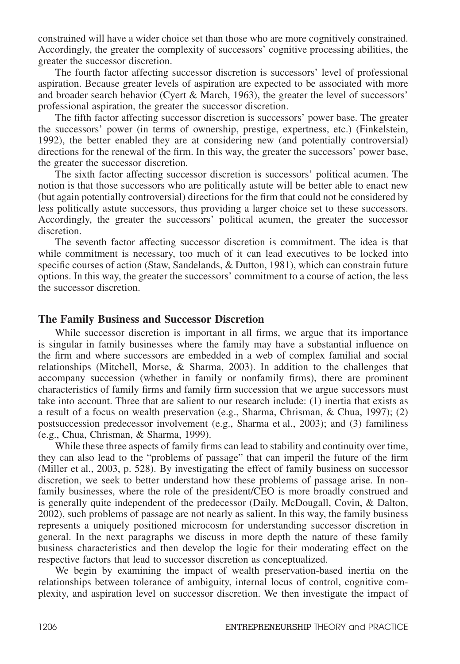constrained will have a wider choice set than those who are more cognitively constrained. Accordingly, the greater the complexity of successors' cognitive processing abilities, the greater the successor discretion.

The fourth factor affecting successor discretion is successors' level of professional aspiration. Because greater levels of aspiration are expected to be associated with more and broader search behavior (Cyert & March, 1963), the greater the level of successors' professional aspiration, the greater the successor discretion.

The fifth factor affecting successor discretion is successors' power base. The greater the successors' power (in terms of ownership, prestige, expertness, etc.) (Finkelstein, 1992), the better enabled they are at considering new (and potentially controversial) directions for the renewal of the firm. In this way, the greater the successors' power base, the greater the successor discretion.

The sixth factor affecting successor discretion is successors' political acumen. The notion is that those successors who are politically astute will be better able to enact new (but again potentially controversial) directions for the firm that could not be considered by less politically astute successors, thus providing a larger choice set to these successors. Accordingly, the greater the successors' political acumen, the greater the successor discretion.

The seventh factor affecting successor discretion is commitment. The idea is that while commitment is necessary, too much of it can lead executives to be locked into specific courses of action (Staw, Sandelands, & Dutton, 1981), which can constrain future options. In this way, the greater the successors' commitment to a course of action, the less the successor discretion.

#### **The Family Business and Successor Discretion**

While successor discretion is important in all firms, we argue that its importance is singular in family businesses where the family may have a substantial influence on the firm and where successors are embedded in a web of complex familial and social relationships (Mitchell, Morse, & Sharma, 2003). In addition to the challenges that accompany succession (whether in family or nonfamily firms), there are prominent characteristics of family firms and family firm succession that we argue successors must take into account. Three that are salient to our research include: (1) inertia that exists as a result of a focus on wealth preservation (e.g., Sharma, Chrisman, & Chua, 1997); (2) postsuccession predecessor involvement (e.g., Sharma et al., 2003); and (3) familiness (e.g., Chua, Chrisman, & Sharma, 1999).

While these three aspects of family firms can lead to stability and continuity over time, they can also lead to the "problems of passage" that can imperil the future of the firm (Miller et al., 2003, p. 528). By investigating the effect of family business on successor discretion, we seek to better understand how these problems of passage arise. In nonfamily businesses, where the role of the president/CEO is more broadly construed and is generally quite independent of the predecessor (Daily, McDougall, Covin, & Dalton, 2002), such problems of passage are not nearly as salient. In this way, the family business represents a uniquely positioned microcosm for understanding successor discretion in general. In the next paragraphs we discuss in more depth the nature of these family business characteristics and then develop the logic for their moderating effect on the respective factors that lead to successor discretion as conceptualized.

We begin by examining the impact of wealth preservation-based inertia on the relationships between tolerance of ambiguity, internal locus of control, cognitive complexity, and aspiration level on successor discretion. We then investigate the impact of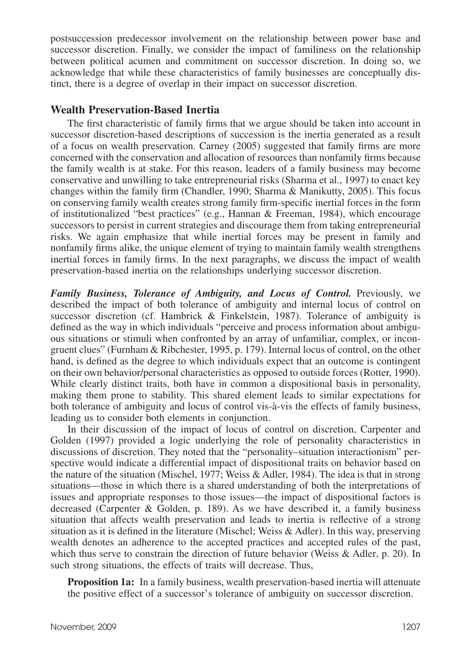postsuccession predecessor involvement on the relationship between power base and successor discretion. Finally, we consider the impact of familiness on the relationship between political acumen and commitment on successor discretion. In doing so, we acknowledge that while these characteristics of family businesses are conceptually distinct, there is a degree of overlap in their impact on successor discretion.

# **Wealth Preservation-Based Inertia**

The first characteristic of family firms that we argue should be taken into account in successor discretion-based descriptions of succession is the inertia generated as a result of a focus on wealth preservation. Carney (2005) suggested that family firms are more concerned with the conservation and allocation of resources than nonfamily firms because the family wealth is at stake. For this reason, leaders of a family business may become conservative and unwilling to take entrepreneurial risks (Sharma et al., 1997) to enact key changes within the family firm (Chandler, 1990; Sharma & Manikutty, 2005). This focus on conserving family wealth creates strong family firm-specific inertial forces in the form of institutionalized "best practices" (e.g., Hannan & Freeman, 1984), which encourage successors to persist in current strategies and discourage them from taking entrepreneurial risks. We again emphasize that while inertial forces may be present in family and nonfamily firms alike, the unique element of trying to maintain family wealth strengthens inertial forces in family firms. In the next paragraphs, we discuss the impact of wealth preservation-based inertia on the relationships underlying successor discretion.

*Family Business, Tolerance of Ambiguity, and Locus of Control.* Previously, we described the impact of both tolerance of ambiguity and internal locus of control on successor discretion (cf. Hambrick & Finkelstein, 1987). Tolerance of ambiguity is defined as the way in which individuals "perceive and process information about ambiguous situations or stimuli when confronted by an array of unfamiliar, complex, or incongruent clues" (Furnham & Ribchester, 1995, p. 179). Internal locus of control, on the other hand, is defined as the degree to which individuals expect that an outcome is contingent on their own behavior/personal characteristics as opposed to outside forces (Rotter, 1990). While clearly distinct traits, both have in common a dispositional basis in personality, making them prone to stability. This shared element leads to similar expectations for both tolerance of ambiguity and locus of control vis-à-vis the effects of family business, leading us to consider both elements in conjunction.

In their discussion of the impact of locus of control on discretion, Carpenter and Golden (1997) provided a logic underlying the role of personality characteristics in discussions of discretion. They noted that the "personality–situation interactionism" perspective would indicate a differential impact of dispositional traits on behavior based on the nature of the situation (Mischel, 1977; Weiss & Adler, 1984). The idea is that in strong situations—those in which there is a shared understanding of both the interpretations of issues and appropriate responses to those issues—the impact of dispositional factors is decreased (Carpenter & Golden, p. 189). As we have described it, a family business situation that affects wealth preservation and leads to inertia is reflective of a strong situation as it is defined in the literature (Mischel; Weiss & Adler). In this way, preserving wealth denotes an adherence to the accepted practices and accepted rules of the past, which thus serve to constrain the direction of future behavior (Weiss & Adler, p. 20). In such strong situations, the effects of traits will decrease. Thus,

**Proposition 1a:** In a family business, wealth preservation-based inertia will attenuate the positive effect of a successor's tolerance of ambiguity on successor discretion.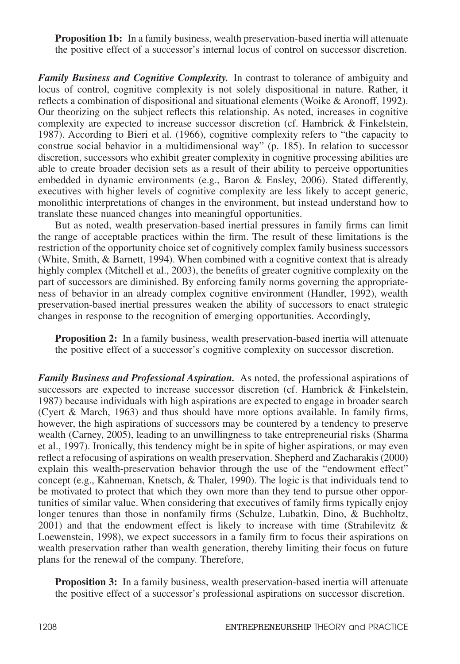**Proposition 1b:** In a family business, wealth preservation-based inertia will attenuate the positive effect of a successor's internal locus of control on successor discretion.

*Family Business and Cognitive Complexity.* In contrast to tolerance of ambiguity and locus of control, cognitive complexity is not solely dispositional in nature. Rather, it reflects a combination of dispositional and situational elements (Woike & Aronoff, 1992). Our theorizing on the subject reflects this relationship. As noted, increases in cognitive complexity are expected to increase successor discretion (cf. Hambrick & Finkelstein, 1987). According to Bieri et al. (1966), cognitive complexity refers to "the capacity to construe social behavior in a multidimensional way" (p. 185). In relation to successor discretion, successors who exhibit greater complexity in cognitive processing abilities are able to create broader decision sets as a result of their ability to perceive opportunities embedded in dynamic environments (e.g., Baron & Ensley, 2006). Stated differently, executives with higher levels of cognitive complexity are less likely to accept generic, monolithic interpretations of changes in the environment, but instead understand how to translate these nuanced changes into meaningful opportunities.

But as noted, wealth preservation-based inertial pressures in family firms can limit the range of acceptable practices within the firm. The result of these limitations is the restriction of the opportunity choice set of cognitively complex family business successors (White, Smith, & Barnett, 1994). When combined with a cognitive context that is already highly complex (Mitchell et al., 2003), the benefits of greater cognitive complexity on the part of successors are diminished. By enforcing family norms governing the appropriateness of behavior in an already complex cognitive environment (Handler, 1992), wealth preservation-based inertial pressures weaken the ability of successors to enact strategic changes in response to the recognition of emerging opportunities. Accordingly,

**Proposition 2:** In a family business, wealth preservation-based inertia will attenuate the positive effect of a successor's cognitive complexity on successor discretion.

*Family Business and Professional Aspiration.* As noted, the professional aspirations of successors are expected to increase successor discretion (cf. Hambrick & Finkelstein, 1987) because individuals with high aspirations are expected to engage in broader search (Cyert & March, 1963) and thus should have more options available. In family firms, however, the high aspirations of successors may be countered by a tendency to preserve wealth (Carney, 2005), leading to an unwillingness to take entrepreneurial risks (Sharma et al., 1997). Ironically, this tendency might be in spite of higher aspirations, or may even reflect a refocusing of aspirations on wealth preservation. Shepherd and Zacharakis (2000) explain this wealth-preservation behavior through the use of the "endowment effect" concept (e.g., Kahneman, Knetsch, & Thaler, 1990). The logic is that individuals tend to be motivated to protect that which they own more than they tend to pursue other opportunities of similar value. When considering that executives of family firms typically enjoy longer tenures than those in nonfamily firms (Schulze, Lubatkin, Dino, & Buchholtz, 2001) and that the endowment effect is likely to increase with time (Strahilevitz  $\&$ Loewenstein, 1998), we expect successors in a family firm to focus their aspirations on wealth preservation rather than wealth generation, thereby limiting their focus on future plans for the renewal of the company. Therefore,

**Proposition 3:** In a family business, wealth preservation-based inertia will attenuate the positive effect of a successor's professional aspirations on successor discretion.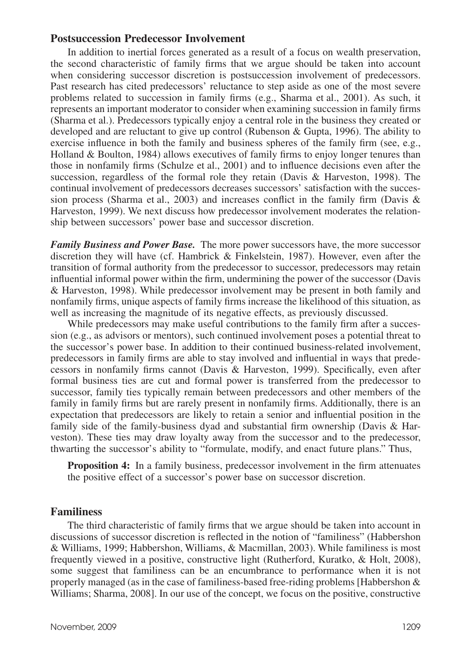## **Postsuccession Predecessor Involvement**

In addition to inertial forces generated as a result of a focus on wealth preservation, the second characteristic of family firms that we argue should be taken into account when considering successor discretion is postsuccession involvement of predecessors. Past research has cited predecessors' reluctance to step aside as one of the most severe problems related to succession in family firms (e.g., Sharma et al., 2001). As such, it represents an important moderator to consider when examining succession in family firms (Sharma et al.). Predecessors typically enjoy a central role in the business they created or developed and are reluctant to give up control (Rubenson & Gupta, 1996). The ability to exercise influence in both the family and business spheres of the family firm (see, e.g., Holland & Boulton, 1984) allows executives of family firms to enjoy longer tenures than those in nonfamily firms (Schulze et al., 2001) and to influence decisions even after the succession, regardless of the formal role they retain (Davis & Harveston, 1998). The continual involvement of predecessors decreases successors' satisfaction with the succession process (Sharma et al., 2003) and increases conflict in the family firm (Davis  $\&$ Harveston, 1999). We next discuss how predecessor involvement moderates the relationship between successors' power base and successor discretion.

*Family Business and Power Base.* The more power successors have, the more successor discretion they will have (cf. Hambrick & Finkelstein, 1987). However, even after the transition of formal authority from the predecessor to successor, predecessors may retain influential informal power within the firm, undermining the power of the successor (Davis & Harveston, 1998). While predecessor involvement may be present in both family and nonfamily firms, unique aspects of family firms increase the likelihood of this situation, as well as increasing the magnitude of its negative effects, as previously discussed.

While predecessors may make useful contributions to the family firm after a succession (e.g., as advisors or mentors), such continued involvement poses a potential threat to the successor's power base. In addition to their continued business-related involvement, predecessors in family firms are able to stay involved and influential in ways that predecessors in nonfamily firms cannot (Davis & Harveston, 1999). Specifically, even after formal business ties are cut and formal power is transferred from the predecessor to successor, family ties typically remain between predecessors and other members of the family in family firms but are rarely present in nonfamily firms. Additionally, there is an expectation that predecessors are likely to retain a senior and influential position in the family side of the family-business dyad and substantial firm ownership (Davis & Harveston). These ties may draw loyalty away from the successor and to the predecessor, thwarting the successor's ability to "formulate, modify, and enact future plans." Thus,

**Proposition 4:** In a family business, predecessor involvement in the firm attenuates the positive effect of a successor's power base on successor discretion.

#### **Familiness**

The third characteristic of family firms that we argue should be taken into account in discussions of successor discretion is reflected in the notion of "familiness" (Habbershon & Williams, 1999; Habbershon, Williams, & Macmillan, 2003). While familiness is most frequently viewed in a positive, constructive light (Rutherford, Kuratko, & Holt, 2008), some suggest that familiness can be an encumbrance to performance when it is not properly managed (as in the case of familiness-based free-riding problems [Habbershon & Williams; Sharma, 2008]. In our use of the concept, we focus on the positive, constructive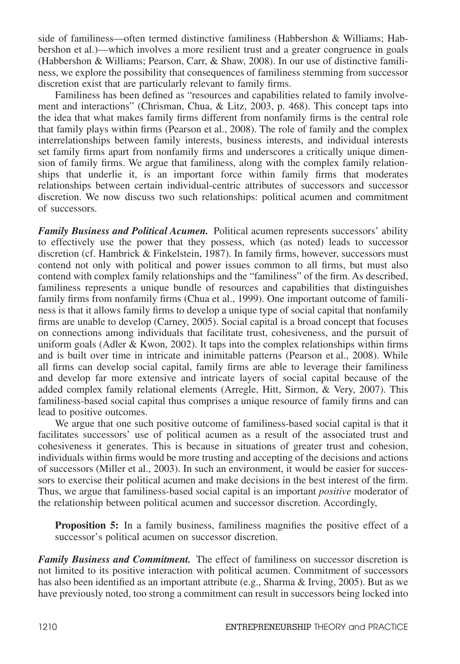side of familiness—often termed distinctive familiness (Habbershon & Williams; Habbershon et al.)—which involves a more resilient trust and a greater congruence in goals (Habbershon & Williams; Pearson, Carr, & Shaw, 2008). In our use of distinctive familiness, we explore the possibility that consequences of familiness stemming from successor discretion exist that are particularly relevant to family firms.

Familiness has been defined as "resources and capabilities related to family involvement and interactions" (Chrisman, Chua, & Litz, 2003, p. 468). This concept taps into the idea that what makes family firms different from nonfamily firms is the central role that family plays within firms (Pearson et al., 2008). The role of family and the complex interrelationships between family interests, business interests, and individual interests set family firms apart from nonfamily firms and underscores a critically unique dimension of family firms. We argue that familiness, along with the complex family relationships that underlie it, is an important force within family firms that moderates relationships between certain individual-centric attributes of successors and successor discretion. We now discuss two such relationships: political acumen and commitment of successors.

*Family Business and Political Acumen.* Political acumen represents successors' ability to effectively use the power that they possess, which (as noted) leads to successor discretion (cf. Hambrick & Finkelstein, 1987). In family firms, however, successors must contend not only with political and power issues common to all firms, but must also contend with complex family relationships and the "familiness" of the firm. As described, familiness represents a unique bundle of resources and capabilities that distinguishes family firms from nonfamily firms (Chua et al., 1999). One important outcome of familiness is that it allows family firms to develop a unique type of social capital that nonfamily firms are unable to develop (Carney, 2005). Social capital is a broad concept that focuses on connections among individuals that facilitate trust, cohesiveness, and the pursuit of uniform goals (Adler  $&$  Kwon, 2002). It taps into the complex relationships within firms and is built over time in intricate and inimitable patterns (Pearson et al., 2008). While all firms can develop social capital, family firms are able to leverage their familiness and develop far more extensive and intricate layers of social capital because of the added complex family relational elements (Arregle, Hitt, Sirmon, & Very, 2007). This familiness-based social capital thus comprises a unique resource of family firms and can lead to positive outcomes.

We argue that one such positive outcome of familiness-based social capital is that it facilitates successors' use of political acumen as a result of the associated trust and cohesiveness it generates. This is because in situations of greater trust and cohesion, individuals within firms would be more trusting and accepting of the decisions and actions of successors (Miller et al., 2003). In such an environment, it would be easier for successors to exercise their political acumen and make decisions in the best interest of the firm. Thus, we argue that familiness-based social capital is an important *positive* moderator of the relationship between political acumen and successor discretion. Accordingly,

**Proposition 5:** In a family business, familiness magnifies the positive effect of a successor's political acumen on successor discretion.

*Family Business and Commitment.* The effect of familiness on successor discretion is not limited to its positive interaction with political acumen. Commitment of successors has also been identified as an important attribute (e.g., Sharma & Irving, 2005). But as we have previously noted, too strong a commitment can result in successors being locked into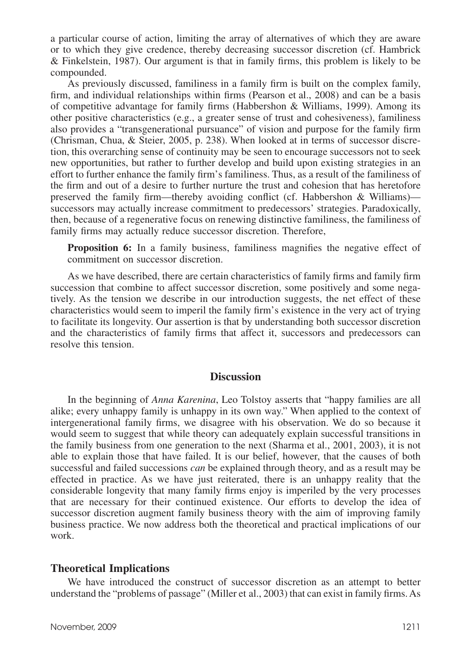a particular course of action, limiting the array of alternatives of which they are aware or to which they give credence, thereby decreasing successor discretion (cf. Hambrick & Finkelstein, 1987). Our argument is that in family firms, this problem is likely to be compounded.

As previously discussed, familiness in a family firm is built on the complex family, firm, and individual relationships within firms (Pearson et al., 2008) and can be a basis of competitive advantage for family firms (Habbershon & Williams, 1999). Among its other positive characteristics (e.g., a greater sense of trust and cohesiveness), familiness also provides a "transgenerational pursuance" of vision and purpose for the family firm (Chrisman, Chua, & Steier, 2005, p. 238). When looked at in terms of successor discretion, this overarching sense of continuity may be seen to encourage successors not to seek new opportunities, but rather to further develop and build upon existing strategies in an effort to further enhance the family firm's familiness. Thus, as a result of the familiness of the firm and out of a desire to further nurture the trust and cohesion that has heretofore preserved the family firm—thereby avoiding conflict (cf. Habbershon & Williams) successors may actually increase commitment to predecessors' strategies. Paradoxically, then, because of a regenerative focus on renewing distinctive familiness, the familiness of family firms may actually reduce successor discretion. Therefore,

**Proposition 6:** In a family business, familiness magnifies the negative effect of commitment on successor discretion.

As we have described, there are certain characteristics of family firms and family firm succession that combine to affect successor discretion, some positively and some negatively. As the tension we describe in our introduction suggests, the net effect of these characteristics would seem to imperil the family firm's existence in the very act of trying to facilitate its longevity. Our assertion is that by understanding both successor discretion and the characteristics of family firms that affect it, successors and predecessors can resolve this tension.

#### **Discussion**

In the beginning of *Anna Karenina*, Leo Tolstoy asserts that "happy families are all alike; every unhappy family is unhappy in its own way." When applied to the context of intergenerational family firms, we disagree with his observation. We do so because it would seem to suggest that while theory can adequately explain successful transitions in the family business from one generation to the next (Sharma et al., 2001, 2003), it is not able to explain those that have failed. It is our belief, however, that the causes of both successful and failed successions *can* be explained through theory, and as a result may be effected in practice. As we have just reiterated, there is an unhappy reality that the considerable longevity that many family firms enjoy is imperiled by the very processes that are necessary for their continued existence. Our efforts to develop the idea of successor discretion augment family business theory with the aim of improving family business practice. We now address both the theoretical and practical implications of our work.

#### **Theoretical Implications**

We have introduced the construct of successor discretion as an attempt to better understand the "problems of passage" (Miller et al., 2003) that can exist in family firms. As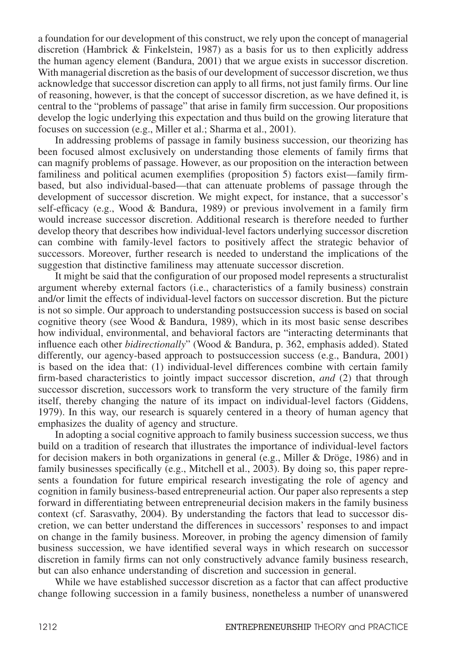a foundation for our development of this construct, we rely upon the concept of managerial discretion (Hambrick & Finkelstein, 1987) as a basis for us to then explicitly address the human agency element (Bandura, 2001) that we argue exists in successor discretion. With managerial discretion as the basis of our development of successor discretion, we thus acknowledge that successor discretion can apply to all firms, not just family firms. Our line of reasoning, however, is that the concept of successor discretion, as we have defined it, is central to the "problems of passage" that arise in family firm succession. Our propositions develop the logic underlying this expectation and thus build on the growing literature that focuses on succession (e.g., Miller et al.; Sharma et al., 2001).

In addressing problems of passage in family business succession, our theorizing has been focused almost exclusively on understanding those elements of family firms that can magnify problems of passage. However, as our proposition on the interaction between familiness and political acumen exemplifies (proposition 5) factors exist—family firmbased, but also individual-based—that can attenuate problems of passage through the development of successor discretion. We might expect, for instance, that a successor's self-efficacy (e.g., Wood & Bandura, 1989) or previous involvement in a family firm would increase successor discretion. Additional research is therefore needed to further develop theory that describes how individual-level factors underlying successor discretion can combine with family-level factors to positively affect the strategic behavior of successors. Moreover, further research is needed to understand the implications of the suggestion that distinctive familiness may attenuate successor discretion.

It might be said that the configuration of our proposed model represents a structuralist argument whereby external factors (i.e., characteristics of a family business) constrain and/or limit the effects of individual-level factors on successor discretion. But the picture is not so simple. Our approach to understanding postsuccession success is based on social cognitive theory (see Wood & Bandura, 1989), which in its most basic sense describes how individual, environmental, and behavioral factors are "interacting determinants that influence each other *bidirectionally*" (Wood & Bandura, p. 362, emphasis added). Stated differently, our agency-based approach to postsuccession success (e.g., Bandura, 2001) is based on the idea that: (1) individual-level differences combine with certain family firm-based characteristics to jointly impact successor discretion, *and* (2) that through successor discretion, successors work to transform the very structure of the family firm itself, thereby changing the nature of its impact on individual-level factors (Giddens, 1979). In this way, our research is squarely centered in a theory of human agency that emphasizes the duality of agency and structure.

In adopting a social cognitive approach to family business succession success, we thus build on a tradition of research that illustrates the importance of individual-level factors for decision makers in both organizations in general (e.g., Miller & Dröge, 1986) and in family businesses specifically (e.g., Mitchell et al., 2003). By doing so, this paper represents a foundation for future empirical research investigating the role of agency and cognition in family business-based entrepreneurial action. Our paper also represents a step forward in differentiating between entrepreneurial decision makers in the family business context (cf. Sarasvathy, 2004). By understanding the factors that lead to successor discretion, we can better understand the differences in successors' responses to and impact on change in the family business. Moreover, in probing the agency dimension of family business succession, we have identified several ways in which research on successor discretion in family firms can not only constructively advance family business research, but can also enhance understanding of discretion and succession in general.

While we have established successor discretion as a factor that can affect productive change following succession in a family business, nonetheless a number of unanswered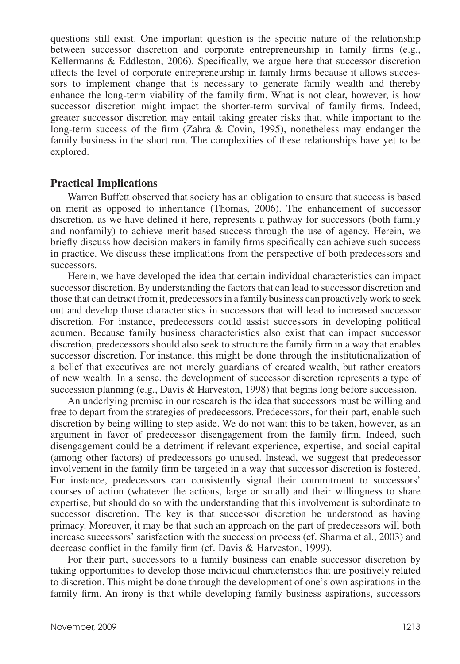questions still exist. One important question is the specific nature of the relationship between successor discretion and corporate entrepreneurship in family firms (e.g., Kellermanns & Eddleston, 2006). Specifically, we argue here that successor discretion affects the level of corporate entrepreneurship in family firms because it allows successors to implement change that is necessary to generate family wealth and thereby enhance the long-term viability of the family firm. What is not clear, however, is how successor discretion might impact the shorter-term survival of family firms. Indeed, greater successor discretion may entail taking greater risks that, while important to the long-term success of the firm (Zahra & Covin, 1995), nonetheless may endanger the family business in the short run. The complexities of these relationships have yet to be explored.

#### **Practical Implications**

Warren Buffett observed that society has an obligation to ensure that success is based on merit as opposed to inheritance (Thomas, 2006). The enhancement of successor discretion, as we have defined it here, represents a pathway for successors (both family and nonfamily) to achieve merit-based success through the use of agency. Herein, we briefly discuss how decision makers in family firms specifically can achieve such success in practice. We discuss these implications from the perspective of both predecessors and successors.

Herein, we have developed the idea that certain individual characteristics can impact successor discretion. By understanding the factors that can lead to successor discretion and those that can detract from it, predecessors in a family business can proactively work to seek out and develop those characteristics in successors that will lead to increased successor discretion. For instance, predecessors could assist successors in developing political acumen. Because family business characteristics also exist that can impact successor discretion, predecessors should also seek to structure the family firm in a way that enables successor discretion. For instance, this might be done through the institutionalization of a belief that executives are not merely guardians of created wealth, but rather creators of new wealth. In a sense, the development of successor discretion represents a type of succession planning (e.g., Davis & Harveston, 1998) that begins long before succession.

An underlying premise in our research is the idea that successors must be willing and free to depart from the strategies of predecessors. Predecessors, for their part, enable such discretion by being willing to step aside. We do not want this to be taken, however, as an argument in favor of predecessor disengagement from the family firm. Indeed, such disengagement could be a detriment if relevant experience, expertise, and social capital (among other factors) of predecessors go unused. Instead, we suggest that predecessor involvement in the family firm be targeted in a way that successor discretion is fostered. For instance, predecessors can consistently signal their commitment to successors' courses of action (whatever the actions, large or small) and their willingness to share expertise, but should do so with the understanding that this involvement is subordinate to successor discretion. The key is that successor discretion be understood as having primacy. Moreover, it may be that such an approach on the part of predecessors will both increase successors' satisfaction with the succession process (cf. Sharma et al., 2003) and decrease conflict in the family firm (cf. Davis & Harveston, 1999).

For their part, successors to a family business can enable successor discretion by taking opportunities to develop those individual characteristics that are positively related to discretion. This might be done through the development of one's own aspirations in the family firm. An irony is that while developing family business aspirations, successors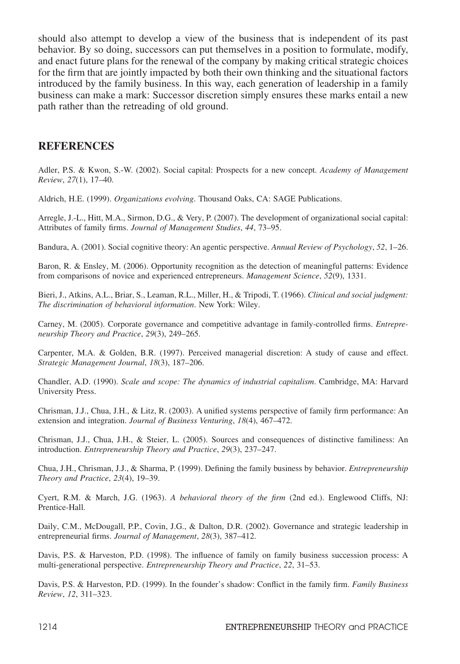should also attempt to develop a view of the business that is independent of its past behavior. By so doing, successors can put themselves in a position to formulate, modify, and enact future plans for the renewal of the company by making critical strategic choices for the firm that are jointly impacted by both their own thinking and the situational factors introduced by the family business. In this way, each generation of leadership in a family business can make a mark: Successor discretion simply ensures these marks entail a new path rather than the retreading of old ground.

# **REFERENCES**

Adler, P.S. & Kwon, S.-W. (2002). Social capital: Prospects for a new concept. *Academy of Management Review*, *27*(1), 17–40.

Aldrich, H.E. (1999). *Organizations evolving*. Thousand Oaks, CA: SAGE Publications.

Arregle, J.-L., Hitt, M.A., Sirmon, D.G., & Very, P. (2007). The development of organizational social capital: Attributes of family firms. *Journal of Management Studies*, *44*, 73–95.

Bandura, A. (2001). Social cognitive theory: An agentic perspective. *Annual Review of Psychology*, *52*, 1–26.

Baron, R. & Ensley, M. (2006). Opportunity recognition as the detection of meaningful patterns: Evidence from comparisons of novice and experienced entrepreneurs. *Management Science*, *52*(9), 1331.

Bieri, J., Atkins, A.L., Briar, S., Leaman, R.L., Miller, H., & Tripodi, T. (1966). *Clinical and social judgment: The discrimination of behavioral information*. New York: Wiley.

Carney, M. (2005). Corporate governance and competitive advantage in family-controlled firms. *Entrepreneurship Theory and Practice*, *29*(3), 249–265.

Carpenter, M.A. & Golden, B.R. (1997). Perceived managerial discretion: A study of cause and effect. *Strategic Management Journal*, *18*(3), 187–206.

Chandler, A.D. (1990). *Scale and scope: The dynamics of industrial capitalism*. Cambridge, MA: Harvard University Press.

Chrisman, J.J., Chua, J.H., & Litz, R. (2003). A unified systems perspective of family firm performance: An extension and integration. *Journal of Business Venturing*, *18*(4), 467–472.

Chrisman, J.J., Chua, J.H., & Steier, L. (2005). Sources and consequences of distinctive familiness: An introduction. *Entrepreneurship Theory and Practice*, *29*(3), 237–247.

Chua, J.H., Chrisman, J.J., & Sharma, P. (1999). Defining the family business by behavior. *Entrepreneurship Theory and Practice*, *23*(4), 19–39.

Cyert, R.M. & March, J.G. (1963). *A behavioral theory of the firm* (2nd ed.). Englewood Cliffs, NJ: Prentice-Hall.

Daily, C.M., McDougall, P.P., Covin, J.G., & Dalton, D.R. (2002). Governance and strategic leadership in entrepreneurial firms. *Journal of Management*, *28*(3), 387–412.

Davis, P.S. & Harveston, P.D. (1998). The influence of family on family business succession process: A multi-generational perspective. *Entrepreneurship Theory and Practice*, *22*, 31–53.

Davis, P.S. & Harveston, P.D. (1999). In the founder's shadow: Conflict in the family firm. *Family Business Review*, *12*, 311–323.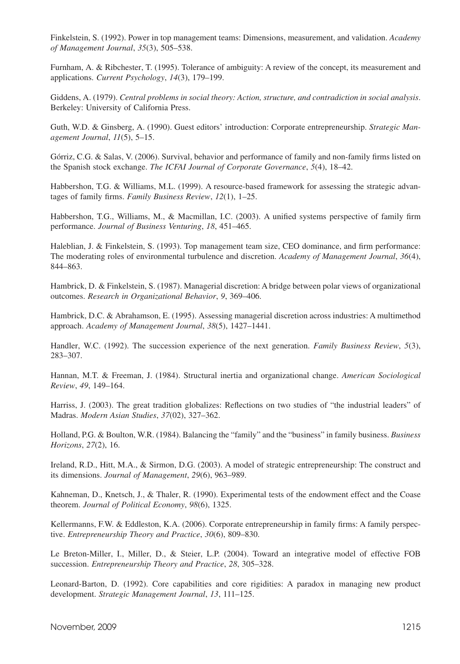Finkelstein, S. (1992). Power in top management teams: Dimensions, measurement, and validation. *Academy of Management Journal*, *35*(3), 505–538.

Furnham, A. & Ribchester, T. (1995). Tolerance of ambiguity: A review of the concept, its measurement and applications. *Current Psychology*, *14*(3), 179–199.

Giddens, A. (1979). *Central problems in social theory: Action, structure, and contradiction in social analysis*. Berkeley: University of California Press.

Guth, W.D. & Ginsberg, A. (1990). Guest editors' introduction: Corporate entrepreneurship. *Strategic Management Journal*, *11*(5), 5–15.

Górriz, C.G. & Salas, V. (2006). Survival, behavior and performance of family and non-family firms listed on the Spanish stock exchange. *The ICFAI Journal of Corporate Governance*, *5*(4), 18–42.

Habbershon, T.G. & Williams, M.L. (1999). A resource-based framework for assessing the strategic advantages of family firms. *Family Business Review*, *12*(1), 1–25.

Habbershon, T.G., Williams, M., & Macmillan, I.C. (2003). A unified systems perspective of family firm performance. *Journal of Business Venturing*, *18*, 451–465.

Haleblian, J. & Finkelstein, S. (1993). Top management team size, CEO dominance, and firm performance: The moderating roles of environmental turbulence and discretion. *Academy of Management Journal*, *36*(4), 844–863.

Hambrick, D. & Finkelstein, S. (1987). Managerial discretion: A bridge between polar views of organizational outcomes. *Research in Organizational Behavior*, *9*, 369–406.

Hambrick, D.C. & Abrahamson, E. (1995). Assessing managerial discretion across industries: A multimethod approach. *Academy of Management Journal*, *38*(5), 1427–1441.

Handler, W.C. (1992). The succession experience of the next generation. *Family Business Review*, *5*(3), 283–307.

Hannan, M.T. & Freeman, J. (1984). Structural inertia and organizational change. *American Sociological Review*, *49*, 149–164.

Harriss, J. (2003). The great tradition globalizes: Reflections on two studies of "the industrial leaders" of Madras. *Modern Asian Studies*, *37*(02), 327–362.

Holland, P.G. & Boulton, W.R. (1984). Balancing the "family" and the "business" in family business. *Business Horizons*, *27*(2), 16.

Ireland, R.D., Hitt, M.A., & Sirmon, D.G. (2003). A model of strategic entrepreneurship: The construct and its dimensions. *Journal of Management*, *29*(6), 963–989.

Kahneman, D., Knetsch, J., & Thaler, R. (1990). Experimental tests of the endowment effect and the Coase theorem. *Journal of Political Economy*, *98*(6), 1325.

Kellermanns, F.W. & Eddleston, K.A. (2006). Corporate entrepreneurship in family firms: A family perspective. *Entrepreneurship Theory and Practice*, *30*(6), 809–830.

Le Breton-Miller, I., Miller, D., & Steier, L.P. (2004). Toward an integrative model of effective FOB succession. *Entrepreneurship Theory and Practice*, *28*, 305–328.

Leonard-Barton, D. (1992). Core capabilities and core rigidities: A paradox in managing new product development. *Strategic Management Journal*, *13*, 111–125.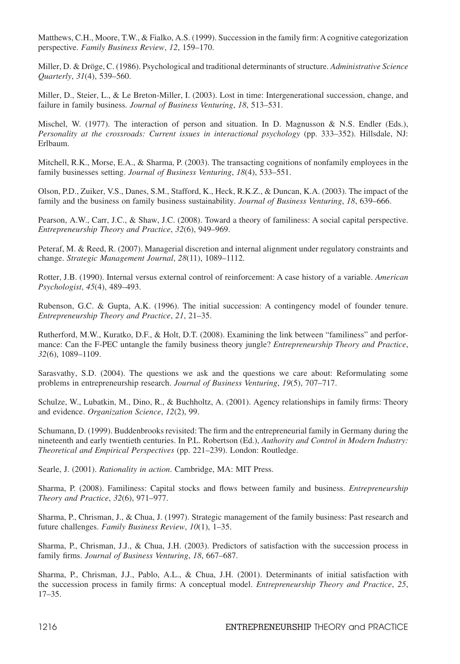Matthews, C.H., Moore, T.W., & Fialko, A.S. (1999). Succession in the family firm: A cognitive categorization perspective. *Family Business Review*, *12*, 159–170.

Miller, D. & Dröge, C. (1986). Psychological and traditional determinants of structure. *Administrative Science Quarterly*, *31*(4), 539–560.

Miller, D., Steier, L., & Le Breton-Miller, I. (2003). Lost in time: Intergenerational succession, change, and failure in family business. *Journal of Business Venturing*, *18*, 513–531.

Mischel, W. (1977). The interaction of person and situation. In D. Magnusson & N.S. Endler (Eds.), *Personality at the crossroads: Current issues in interactional psychology* (pp. 333–352). Hillsdale, NJ: Erlbaum.

Mitchell, R.K., Morse, E.A., & Sharma, P. (2003). The transacting cognitions of nonfamily employees in the family businesses setting. *Journal of Business Venturing*, *18*(4), 533–551.

Olson, P.D., Zuiker, V.S., Danes, S.M., Stafford, K., Heck, R.K.Z., & Duncan, K.A. (2003). The impact of the family and the business on family business sustainability. *Journal of Business Venturing*, *18*, 639–666.

Pearson, A.W., Carr, J.C., & Shaw, J.C. (2008). Toward a theory of familiness: A social capital perspective. *Entrepreneurship Theory and Practice*, *32*(6), 949–969.

Peteraf, M. & Reed, R. (2007). Managerial discretion and internal alignment under regulatory constraints and change. *Strategic Management Journal*, *28*(11), 1089–1112.

Rotter, J.B. (1990). Internal versus external control of reinforcement: A case history of a variable. *American Psychologist*, *45*(4), 489–493.

Rubenson, G.C. & Gupta, A.K. (1996). The initial succession: A contingency model of founder tenure. *Entrepreneurship Theory and Practice*, *21*, 21–35.

Rutherford, M.W., Kuratko, D.F., & Holt, D.T. (2008). Examining the link between "familiness" and performance: Can the F-PEC untangle the family business theory jungle? *Entrepreneurship Theory and Practice*, *32*(6), 1089–1109.

Sarasvathy, S.D. (2004). The questions we ask and the questions we care about: Reformulating some problems in entrepreneurship research. *Journal of Business Venturing*, *19*(5), 707–717.

Schulze, W., Lubatkin, M., Dino, R., & Buchholtz, A. (2001). Agency relationships in family firms: Theory and evidence. *Organization Science*, *12*(2), 99.

Schumann, D. (1999). Buddenbrooks revisited: The firm and the entrepreneurial family in Germany during the nineteenth and early twentieth centuries. In P.L. Robertson (Ed.), *Authority and Control in Modern Industry: Theoretical and Empirical Perspectives* (pp. 221–239). London: Routledge.

Searle, J. (2001). *Rationality in action*. Cambridge, MA: MIT Press.

Sharma, P. (2008). Familiness: Capital stocks and flows between family and business. *Entrepreneurship Theory and Practice*, *32*(6), 971–977.

Sharma, P., Chrisman, J., & Chua, J. (1997). Strategic management of the family business: Past research and future challenges. *Family Business Review*, *10*(1), 1–35.

Sharma, P., Chrisman, J.J., & Chua, J.H. (2003). Predictors of satisfaction with the succession process in family firms. *Journal of Business Venturing*, *18*, 667–687.

Sharma, P., Chrisman, J.J., Pablo, A.L., & Chua, J.H. (2001). Determinants of initial satisfaction with the succession process in family firms: A conceptual model. *Entrepreneurship Theory and Practice*, *25*, 17–35.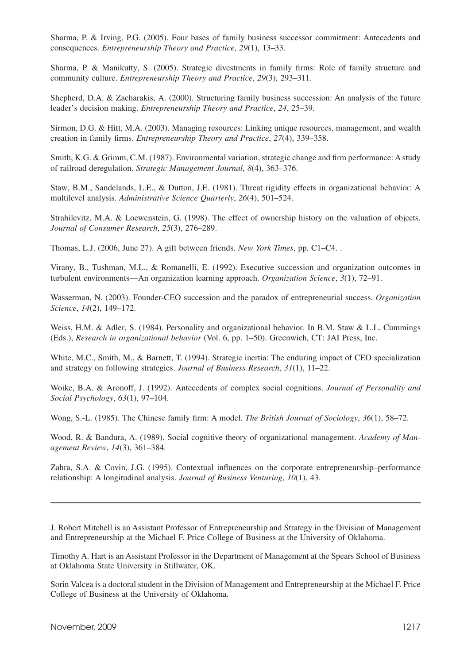Sharma, P. & Irving, P.G. (2005). Four bases of family business successor commitment: Antecedents and consequences. *Entrepreneurship Theory and Practice*, *29*(1), 13–33.

Sharma, P. & Manikutty, S. (2005). Strategic divestments in family firms: Role of family structure and community culture. *Entrepreneurship Theory and Practice*, *29*(3), 293–311.

Shepherd, D.A. & Zacharakis, A. (2000). Structuring family business succession: An analysis of the future leader's decision making. *Entrepreneurship Theory and Practice*, *24*, 25–39.

Sirmon, D.G. & Hitt, M.A. (2003). Managing resources: Linking unique resources, management, and wealth creation in family firms. *Entrepreneurship Theory and Practice*, *27*(4), 339–358.

Smith, K.G. & Grimm, C.M. (1987). Environmental variation, strategic change and firm performance: A study of railroad deregulation. *Strategic Management Journal*, *8*(4), 363–376.

Staw, B.M., Sandelands, L.E., & Dutton, J.E. (1981). Threat rigidity effects in organizational behavior: A multilevel analysis. *Administrative Science Quarterly*, *26*(4), 501–524.

Strahilevitz, M.A. & Loewenstein, G. (1998). The effect of ownership history on the valuation of objects. *Journal of Consumer Research*, *25*(3), 276–289.

Thomas, L.J. (2006, June 27). A gift between friends. *New York Times*, pp. C1–C4. .

Virany, B., Tushman, M.L., & Romanelli, E. (1992). Executive succession and organization outcomes in turbulent environments—An organization learning approach. *Organization Science*, *3*(1), 72–91.

Wasserman, N. (2003). Founder-CEO succession and the paradox of entrepreneurial success. *Organization Science*, *14*(2), 149–172.

Weiss, H.M. & Adler, S. (1984). Personality and organizational behavior. In B.M. Staw & L.L. Cummings (Eds.), *Research in organizational behavior* (Vol. 6, pp. 1–50). Greenwich, CT: JAI Press, Inc.

White, M.C., Smith, M., & Barnett, T. (1994). Strategic inertia: The enduring impact of CEO specialization and strategy on following strategies. *Journal of Business Research*, *31*(1), 11–22.

Woike, B.A. & Aronoff, J. (1992). Antecedents of complex social cognitions. *Journal of Personality and Social Psychology*, *63*(1), 97–104.

Wong, S.-L. (1985). The Chinese family firm: A model. *The British Journal of Sociology*, *36*(1), 58–72.

Wood, R. & Bandura, A. (1989). Social cognitive theory of organizational management. *Academy of Management Review*, *14*(3), 361–384.

Zahra, S.A. & Covin, J.G. (1995). Contextual influences on the corporate entrepreneurship–performance relationship: A longitudinal analysis. *Journal of Business Venturing*, *10*(1), 43.

J. Robert Mitchell is an Assistant Professor of Entrepreneurship and Strategy in the Division of Management and Entrepreneurship at the Michael F. Price College of Business at the University of Oklahoma.

Timothy A. Hart is an Assistant Professor in the Department of Management at the Spears School of Business at Oklahoma State University in Stillwater, OK.

Sorin Valcea is a doctoral student in the Division of Management and Entrepreneurship at the Michael F. Price College of Business at the University of Oklahoma.